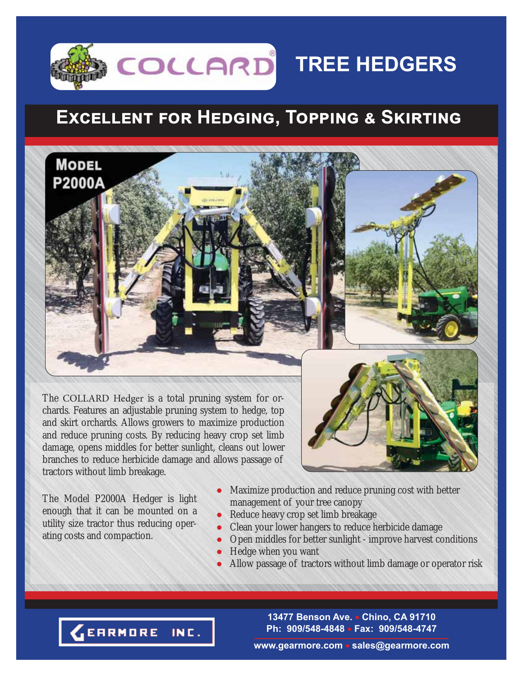# **TREE HEDGERS**

## $EXCELLENT$  FOR HEDGING, TOPPING & SKIRTING

The COLLARD Hedger is a total pruning system for orchards. Features an adjustable pruning system to hedge, top and skirt orchards. Allows growers to maximize production and reduce pruning costs. By reducing heavy crop set limb damage, opens middles for better sunlight, cleans out lower branches to reduce herbicide damage and allows passage of tractors without limb breakage.

The Model P2000A Hedger is light enough that it can be mounted on a utility size tractor thus reducing operating costs and compaction.

**MODEL** 

P2000A

- Maximize production and reduce pruning cost with better management of your tree canopy
- Reduce heavy crop set limb breakage
- Clean your lower hangers to reduce herbicide damage
- Open middles for better sunlight improve harvest conditions
- Hedge when you want
- Allow passage of tractors without limb damage or operator risk

**13477 Benson Ave. Chino, CA 91710 Ph: 909/548-4848 Fax: 909/548-4747**

EARMORE INC.

#### **www.gearmore.com sales@gearmore.com**